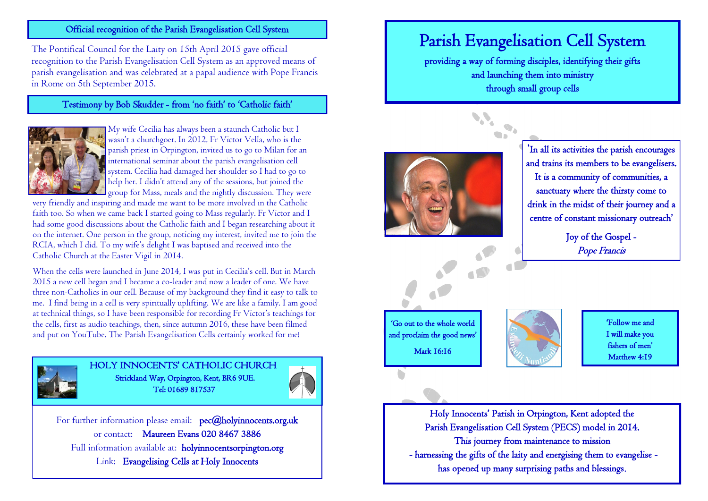#### Official recognition of the Parish Evangelisation Cell System

The Pontifical Council for the Laity on 15th April 2015 gave official recognition to the Parish Evangelisation Cell System as an approved means of parish evangelisation and was celebrated at a papal audience with Pope Francis in Rome on 5th September 2015.

### Testimony by Bob Skudder - from 'no faith' to 'Catholic faith'



My wife Cecilia has always been a staunch Catholic but I wasn't a churchgoer. In 2012, Fr Victor Vella, who is the parish priest in Orpington, invited us to go to Milan for an international seminar about the parish evangelisation cell system. Cecilia had damaged her shoulder so I had to go to help her. I didn't attend any of the sessions, but joined the group for Mass, meals and the nightly discussion. They were

very friendly and inspiring and made me want to be more involved in the Catholic faith too. So when we came back I started going to Mass regularly. Fr Victor and I had some good discussions about the Catholic faith and I began researching about it on the internet. One person in the group, noticing my interest, invited me to join the RCIA, which I did. To my wife's delight I was baptised and received into the Catholic Church at the Easter Vigil in 2014.

When the cells were launched in June 2014, I was put in Cecilia's cell. But in March 2015 a new cell began and I became a co-leader and now a leader of one. We have three non-Catholics in our cell. Because of my background they find it easy to talk to me. I find being in a cell is very spiritually uplifting. We are like a family. I am good at technical things, so I have been responsible for recording Fr Victor's teachings for the cells, first as audio teachings, then, since autumn 2016, these have been filmed and put on YouTube. The Parish Evangelisation Cells certainly worked for me!



HOLY INNOCENTS' CATHOLIC CHURCH Strickland Way, Orpington, Kent, BR6 9UE. Tel: 01689 817537



For further information please email: pec@holyinnocents.org.uk or contact: Maureen Evans 020 8467 3886 Full information available at: holyinnocentsorpington.org Link: Evangelising Cells at Holy Innocents

# Parish Evangelisation Cell System

providing a way of forming disciples, identifying their gifts and launching them into ministry through small group cells





Joy of the Gospel - Pope Francis

 'Go out to the whole world and proclaim the good news' Mark 16:16



**'**Follow me and I will make you fishers of men' Matthew 4:19

Holy Innocents' Parish in Orpington, Kent adopted the Parish Evangelisation Cell System (PECS) model in 2014. This journey from maintenance to mission - harnessing the gifts of the laity and energising them to evangelise has opened up many surprising paths and blessings.